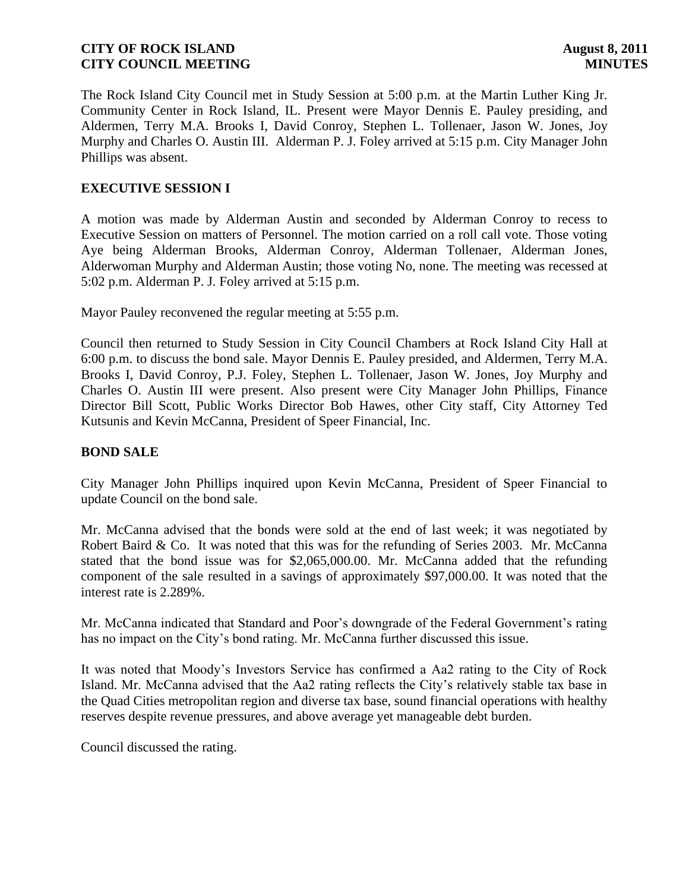The Rock Island City Council met in Study Session at 5:00 p.m. at the Martin Luther King Jr. Community Center in Rock Island, IL. Present were Mayor Dennis E. Pauley presiding, and Aldermen, Terry M.A. Brooks I, David Conroy, Stephen L. Tollenaer, Jason W. Jones, Joy Murphy and Charles O. Austin III. Alderman P. J. Foley arrived at 5:15 p.m. City Manager John Phillips was absent.

# **EXECUTIVE SESSION I**

A motion was made by Alderman Austin and seconded by Alderman Conroy to recess to Executive Session on matters of Personnel. The motion carried on a roll call vote. Those voting Aye being Alderman Brooks, Alderman Conroy, Alderman Tollenaer, Alderman Jones, Alderwoman Murphy and Alderman Austin; those voting No, none. The meeting was recessed at 5:02 p.m. Alderman P. J. Foley arrived at 5:15 p.m.

Mayor Pauley reconvened the regular meeting at 5:55 p.m.

Council then returned to Study Session in City Council Chambers at Rock Island City Hall at 6:00 p.m. to discuss the bond sale. Mayor Dennis E. Pauley presided, and Aldermen, Terry M.A. Brooks I, David Conroy, P.J. Foley, Stephen L. Tollenaer, Jason W. Jones, Joy Murphy and Charles O. Austin III were present. Also present were City Manager John Phillips, Finance Director Bill Scott, Public Works Director Bob Hawes, other City staff, City Attorney Ted Kutsunis and Kevin McCanna, President of Speer Financial, Inc.

### **BOND SALE**

City Manager John Phillips inquired upon Kevin McCanna, President of Speer Financial to update Council on the bond sale.

Mr. McCanna advised that the bonds were sold at the end of last week; it was negotiated by Robert Baird & Co. It was noted that this was for the refunding of Series 2003. Mr. McCanna stated that the bond issue was for \$2,065,000.00. Mr. McCanna added that the refunding component of the sale resulted in a savings of approximately \$97,000.00. It was noted that the interest rate is 2.289%.

Mr. McCanna indicated that Standard and Poor's downgrade of the Federal Government's rating has no impact on the City's bond rating. Mr. McCanna further discussed this issue.

It was noted that Moody's Investors Service has confirmed a Aa2 rating to the City of Rock Island. Mr. McCanna advised that the Aa2 rating reflects the City's relatively stable tax base in the Quad Cities metropolitan region and diverse tax base, sound financial operations with healthy reserves despite revenue pressures, and above average yet manageable debt burden.

Council discussed the rating.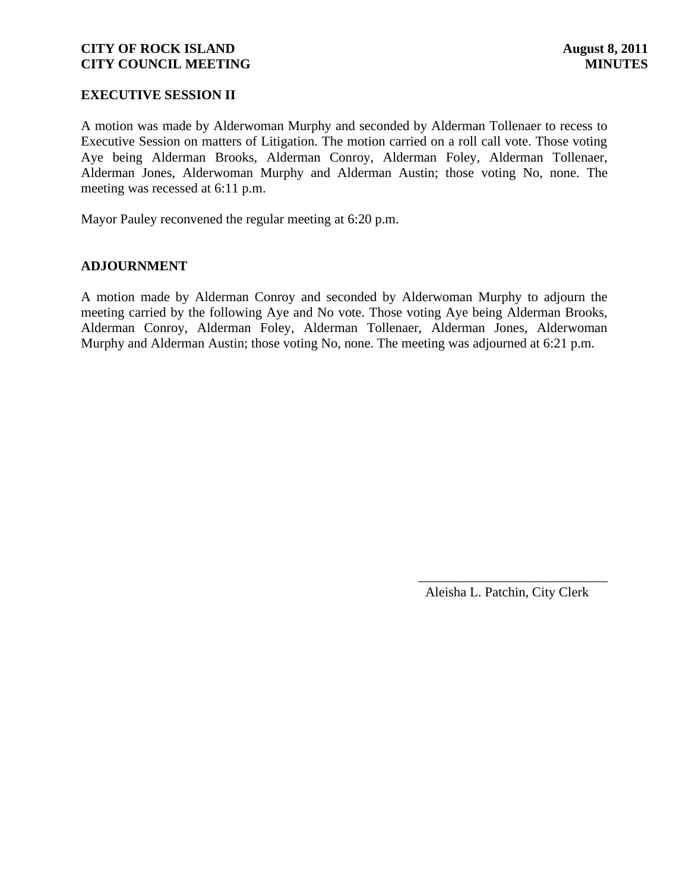### **EXECUTIVE SESSION II**

A motion was made by Alderwoman Murphy and seconded by Alderman Tollenaer to recess to Executive Session on matters of Litigation. The motion carried on a roll call vote. Those voting Aye being Alderman Brooks, Alderman Conroy, Alderman Foley, Alderman Tollenaer, Alderman Jones, Alderwoman Murphy and Alderman Austin; those voting No, none. The meeting was recessed at 6:11 p.m.

Mayor Pauley reconvened the regular meeting at 6:20 p.m.

### **ADJOURNMENT**

A motion made by Alderman Conroy and seconded by Alderwoman Murphy to adjourn the meeting carried by the following Aye and No vote. Those voting Aye being Alderman Brooks, Alderman Conroy, Alderman Foley, Alderman Tollenaer, Alderman Jones, Alderwoman Murphy and Alderman Austin; those voting No, none. The meeting was adjourned at 6:21 p.m.

> \_\_\_\_\_\_\_\_\_\_\_\_\_\_\_\_\_\_\_\_\_\_\_\_\_\_\_\_ Aleisha L. Patchin, City Clerk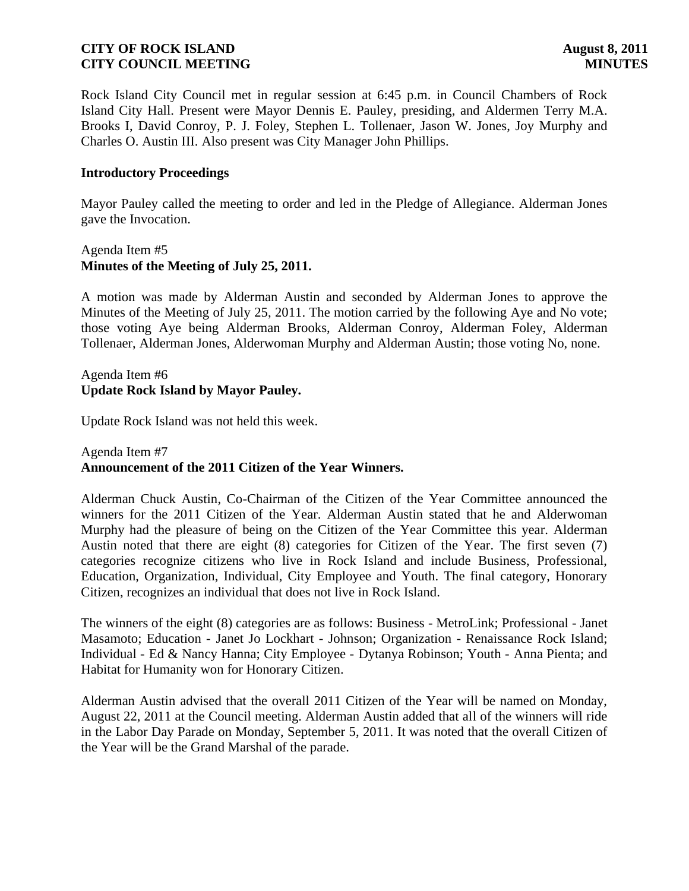Rock Island City Council met in regular session at 6:45 p.m. in Council Chambers of Rock Island City Hall. Present were Mayor Dennis E. Pauley, presiding, and Aldermen Terry M.A. Brooks I, David Conroy, P. J. Foley, Stephen L. Tollenaer, Jason W. Jones, Joy Murphy and Charles O. Austin III. Also present was City Manager John Phillips.

### **Introductory Proceedings**

Mayor Pauley called the meeting to order and led in the Pledge of Allegiance. Alderman Jones gave the Invocation.

### Agenda Item #5 **Minutes of the Meeting of July 25, 2011.**

A motion was made by Alderman Austin and seconded by Alderman Jones to approve the Minutes of the Meeting of July 25, 2011. The motion carried by the following Aye and No vote; those voting Aye being Alderman Brooks, Alderman Conroy, Alderman Foley, Alderman Tollenaer, Alderman Jones, Alderwoman Murphy and Alderman Austin; those voting No, none.

# Agenda Item #6 **Update Rock Island by Mayor Pauley.**

Update Rock Island was not held this week.

## Agenda Item #7 **Announcement of the 2011 Citizen of the Year Winners.**

Alderman Chuck Austin, Co-Chairman of the Citizen of the Year Committee announced the winners for the 2011 Citizen of the Year. Alderman Austin stated that he and Alderwoman Murphy had the pleasure of being on the Citizen of the Year Committee this year. Alderman Austin noted that there are eight (8) categories for Citizen of the Year. The first seven (7) categories recognize citizens who live in Rock Island and include Business, Professional, Education, Organization, Individual, City Employee and Youth. The final category, Honorary Citizen, recognizes an individual that does not live in Rock Island.

The winners of the eight (8) categories are as follows: Business - MetroLink; Professional - Janet Masamoto; Education - Janet Jo Lockhart - Johnson; Organization - Renaissance Rock Island; Individual - Ed & Nancy Hanna; City Employee - Dytanya Robinson; Youth - Anna Pienta; and Habitat for Humanity won for Honorary Citizen.

Alderman Austin advised that the overall 2011 Citizen of the Year will be named on Monday, August 22, 2011 at the Council meeting. Alderman Austin added that all of the winners will ride in the Labor Day Parade on Monday, September 5, 2011. It was noted that the overall Citizen of the Year will be the Grand Marshal of the parade.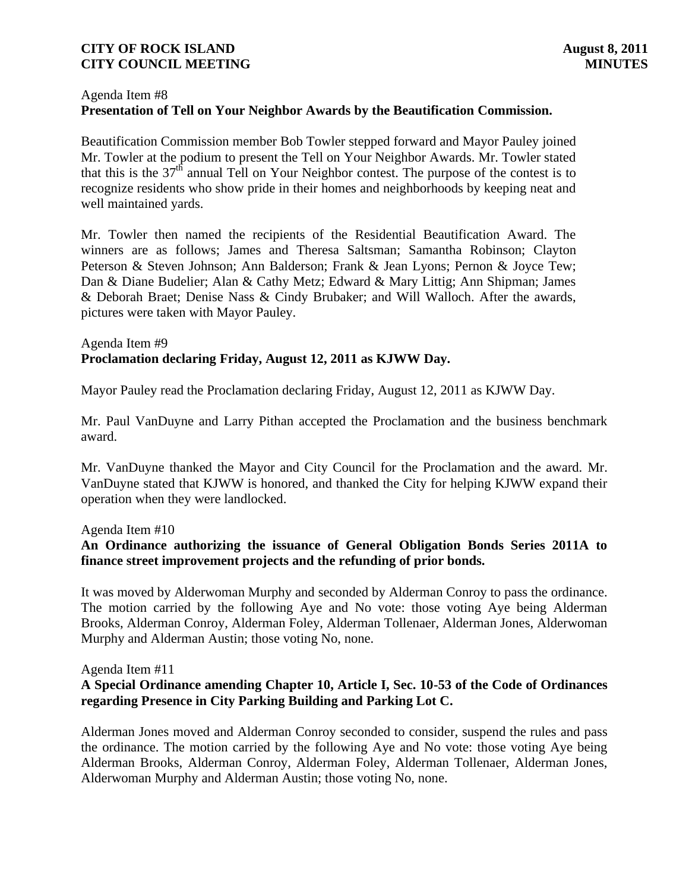### Agenda Item #8 **Presentation of Tell on Your Neighbor Awards by the Beautification Commission.**

Beautification Commission member Bob Towler stepped forward and Mayor Pauley joined Mr. Towler at the podium to present the Tell on Your Neighbor Awards. Mr. Towler stated that this is the  $37<sup>th</sup>$  annual Tell on Your Neighbor contest. The purpose of the contest is to recognize residents who show pride in their homes and neighborhoods by keeping neat and well maintained yards.

Mr. Towler then named the recipients of the Residential Beautification Award. The winners are as follows; James and Theresa Saltsman; Samantha Robinson; Clayton Peterson & Steven Johnson; Ann Balderson; Frank & Jean Lyons; Pernon & Joyce Tew; Dan & Diane Budelier; Alan & Cathy Metz; Edward & Mary Littig; Ann Shipman; James & Deborah Braet; Denise Nass & Cindy Brubaker; and Will Walloch. After the awards, pictures were taken with Mayor Pauley.

# Agenda Item #9 **Proclamation declaring Friday, August 12, 2011 as KJWW Day.**

Mayor Pauley read the Proclamation declaring Friday, August 12, 2011 as KJWW Day.

Mr. Paul VanDuyne and Larry Pithan accepted the Proclamation and the business benchmark award.

Mr. VanDuyne thanked the Mayor and City Council for the Proclamation and the award. Mr. VanDuyne stated that KJWW is honored, and thanked the City for helping KJWW expand their operation when they were landlocked.

### Agenda Item #10

# **An Ordinance authorizing the issuance of General Obligation Bonds Series 2011A to finance street improvement projects and the refunding of prior bonds.**

It was moved by Alderwoman Murphy and seconded by Alderman Conroy to pass the ordinance. The motion carried by the following Aye and No vote: those voting Aye being Alderman Brooks, Alderman Conroy, Alderman Foley, Alderman Tollenaer, Alderman Jones, Alderwoman Murphy and Alderman Austin; those voting No, none.

### Agenda Item #11

# **A Special Ordinance amending Chapter 10, Article I, Sec. 10-53 of the Code of Ordinances regarding Presence in City Parking Building and Parking Lot C.**

Alderman Jones moved and Alderman Conroy seconded to consider, suspend the rules and pass the ordinance. The motion carried by the following Aye and No vote: those voting Aye being Alderman Brooks, Alderman Conroy, Alderman Foley, Alderman Tollenaer, Alderman Jones, Alderwoman Murphy and Alderman Austin; those voting No, none.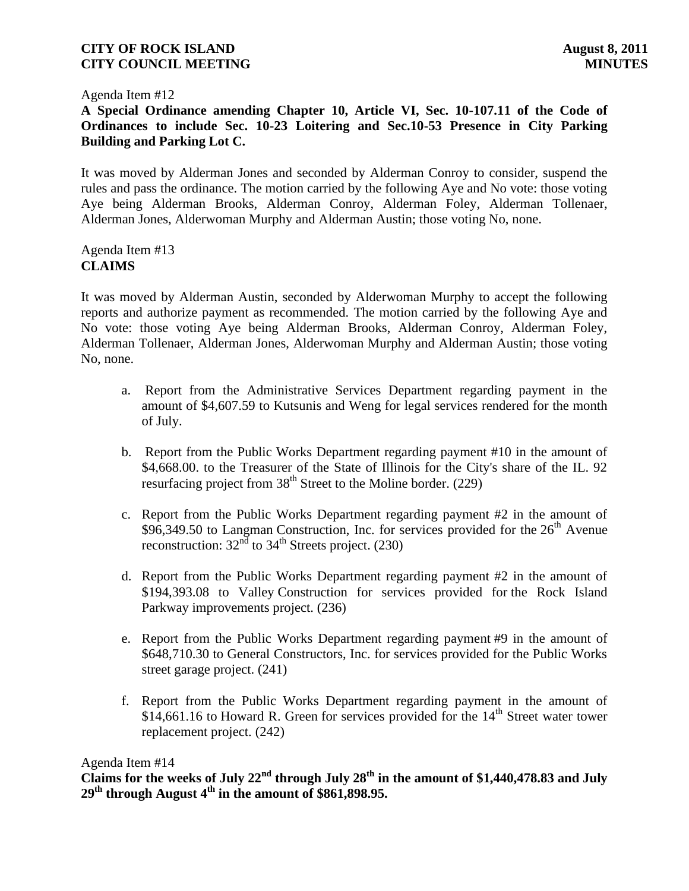Agenda Item #12

# **A Special Ordinance amending Chapter 10, Article VI, Sec. 10-107.11 of the Code of Ordinances to include Sec. 10-23 Loitering and Sec.10-53 Presence in City Parking Building and Parking Lot C.**

It was moved by Alderman Jones and seconded by Alderman Conroy to consider, suspend the rules and pass the ordinance. The motion carried by the following Aye and No vote: those voting Aye being Alderman Brooks, Alderman Conroy, Alderman Foley, Alderman Tollenaer, Alderman Jones, Alderwoman Murphy and Alderman Austin; those voting No, none.

Agenda Item #13 **CLAIMS**

It was moved by Alderman Austin, seconded by Alderwoman Murphy to accept the following reports and authorize payment as recommended. The motion carried by the following Aye and No vote: those voting Aye being Alderman Brooks, Alderman Conroy, Alderman Foley, Alderman Tollenaer, Alderman Jones, Alderwoman Murphy and Alderman Austin; those voting No, none.

- a. Report from the Administrative Services Department regarding payment in the amount of \$4,607.59 to Kutsunis and Weng for legal services rendered for the month of July.
- b. Report from the Public Works Department regarding payment #10 in the amount of \$4,668.00. to the Treasurer of the State of Illinois for the City's share of the IL. 92 resurfacing project from  $38<sup>th</sup>$  Street to the Moline border. (229)
- c. Report from the Public Works Department regarding payment #2 in the amount of  $$96,349.50$  to Langman Construction, Inc. for services provided for the  $26<sup>th</sup>$  Avenue reconstruction:  $32<sup>nd</sup>$  to  $34<sup>th</sup>$  Streets project. (230)
- d. Report from the Public Works Department regarding payment #2 in the amount of \$194,393.08 to Valley Construction for services provided for the Rock Island Parkway improvements project. (236)
- e. Report from the Public Works Department regarding payment #9 in the amount of \$648,710.30 to General Constructors, Inc. for services provided for the Public Works street garage project. (241)
- f. Report from the Public Works Department regarding payment in the amount of \$14,661.16 to Howard R. Green for services provided for the  $14<sup>th</sup>$  Street water tower replacement project. (242)

### Agenda Item #14

**Claims for the weeks of July 22nd through July 28th in the amount of \$1,440,478.83 and July 29th through August 4th in the amount of \$861,898.95.**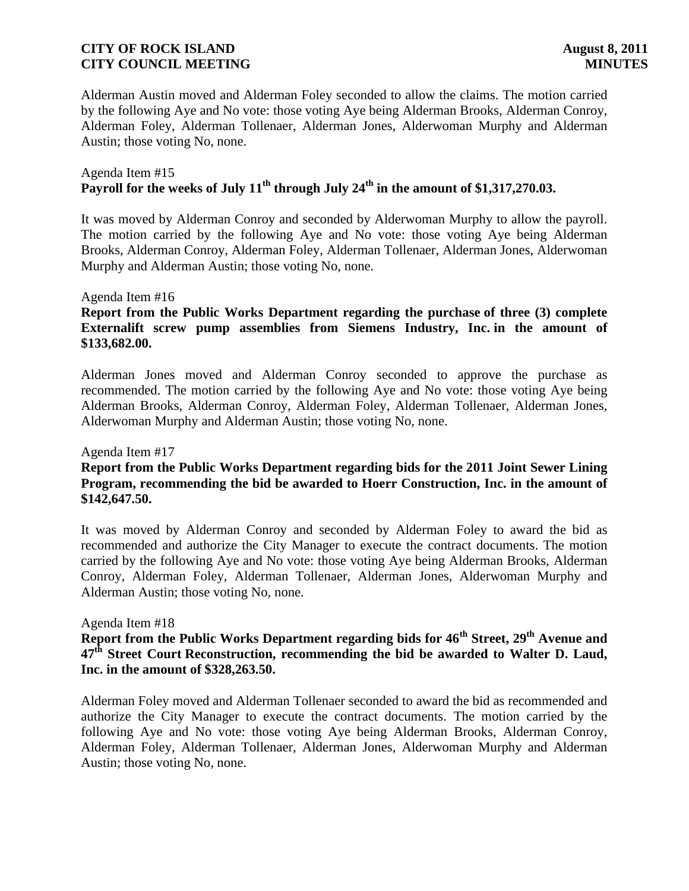Alderman Austin moved and Alderman Foley seconded to allow the claims. The motion carried by the following Aye and No vote: those voting Aye being Alderman Brooks, Alderman Conroy, Alderman Foley, Alderman Tollenaer, Alderman Jones, Alderwoman Murphy and Alderman Austin; those voting No, none.

### Agenda Item #15 **Payroll for the weeks of July 11th through July 24th in the amount of \$1,317,270.03.**

It was moved by Alderman Conroy and seconded by Alderwoman Murphy to allow the payroll. The motion carried by the following Aye and No vote: those voting Aye being Alderman Brooks, Alderman Conroy, Alderman Foley, Alderman Tollenaer, Alderman Jones, Alderwoman Murphy and Alderman Austin; those voting No, none.

### Agenda Item #16

## **Report from the Public Works Department regarding the purchase of three (3) complete Externalift screw pump assemblies from Siemens Industry, Inc. in the amount of \$133,682.00.**

Alderman Jones moved and Alderman Conroy seconded to approve the purchase as recommended. The motion carried by the following Aye and No vote: those voting Aye being Alderman Brooks, Alderman Conroy, Alderman Foley, Alderman Tollenaer, Alderman Jones, Alderwoman Murphy and Alderman Austin; those voting No, none.

#### Agenda Item #17

# **Report from the Public Works Department regarding bids for the 2011 Joint Sewer Lining Program, recommending the bid be awarded to Hoerr Construction, Inc. in the amount of \$142,647.50.**

It was moved by Alderman Conroy and seconded by Alderman Foley to award the bid as recommended and authorize the City Manager to execute the contract documents. The motion carried by the following Aye and No vote: those voting Aye being Alderman Brooks, Alderman Conroy, Alderman Foley, Alderman Tollenaer, Alderman Jones, Alderwoman Murphy and Alderman Austin; those voting No, none.

#### Agenda Item #18

**Report from the Public Works Department regarding bids for 46th Street, 29th Avenue and 47th Street Court Reconstruction, recommending the bid be awarded to Walter D. Laud, Inc. in the amount of \$328,263.50.**

Alderman Foley moved and Alderman Tollenaer seconded to award the bid as recommended and authorize the City Manager to execute the contract documents. The motion carried by the following Aye and No vote: those voting Aye being Alderman Brooks, Alderman Conroy, Alderman Foley, Alderman Tollenaer, Alderman Jones, Alderwoman Murphy and Alderman Austin; those voting No, none.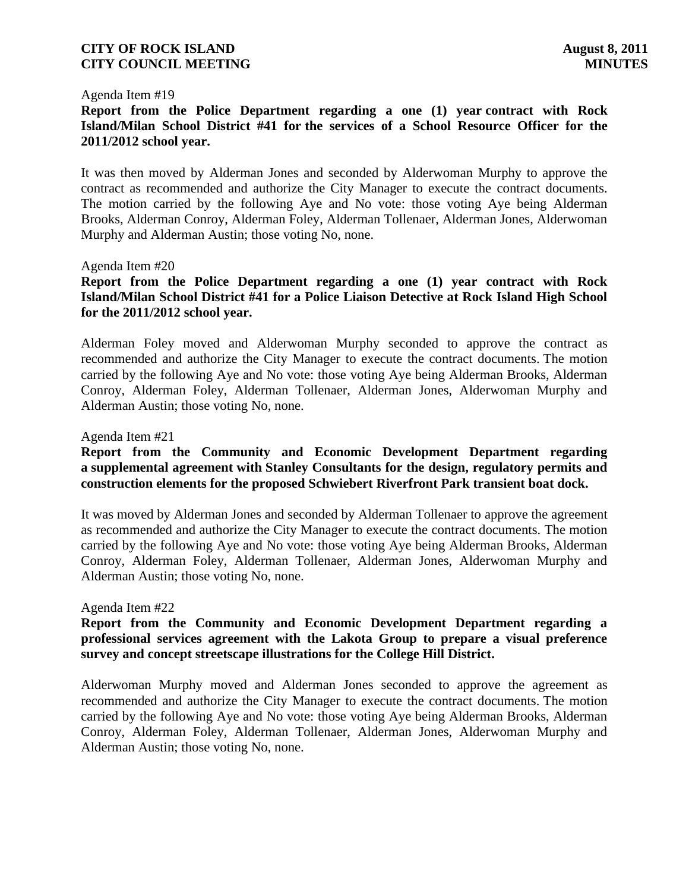#### Agenda Item #19

**Report from the Police Department regarding a one (1) year contract with Rock Island/Milan School District #41 for the services of a School Resource Officer for the 2011/2012 school year.**

It was then moved by Alderman Jones and seconded by Alderwoman Murphy to approve the contract as recommended and authorize the City Manager to execute the contract documents. The motion carried by the following Aye and No vote: those voting Aye being Alderman Brooks, Alderman Conroy, Alderman Foley, Alderman Tollenaer, Alderman Jones, Alderwoman Murphy and Alderman Austin; those voting No, none.

#### Agenda Item #20

**Report from the Police Department regarding a one (1) year contract with Rock Island/Milan School District #41 for a Police Liaison Detective at Rock Island High School for the 2011/2012 school year.**

Alderman Foley moved and Alderwoman Murphy seconded to approve the contract as recommended and authorize the City Manager to execute the contract documents. The motion carried by the following Aye and No vote: those voting Aye being Alderman Brooks, Alderman Conroy, Alderman Foley, Alderman Tollenaer, Alderman Jones, Alderwoman Murphy and Alderman Austin; those voting No, none.

#### Agenda Item #21

## **Report from the Community and Economic Development Department regarding a supplemental agreement with Stanley Consultants for the design, regulatory permits and construction elements for the proposed Schwiebert Riverfront Park transient boat dock.**

It was moved by Alderman Jones and seconded by Alderman Tollenaer to approve the agreement as recommended and authorize the City Manager to execute the contract documents. The motion carried by the following Aye and No vote: those voting Aye being Alderman Brooks, Alderman Conroy, Alderman Foley, Alderman Tollenaer, Alderman Jones, Alderwoman Murphy and Alderman Austin; those voting No, none.

#### Agenda Item #22

## **Report from the Community and Economic Development Department regarding a professional services agreement with the Lakota Group to prepare a visual preference survey and concept streetscape illustrations for the College Hill District.**

Alderwoman Murphy moved and Alderman Jones seconded to approve the agreement as recommended and authorize the City Manager to execute the contract documents. The motion carried by the following Aye and No vote: those voting Aye being Alderman Brooks, Alderman Conroy, Alderman Foley, Alderman Tollenaer, Alderman Jones, Alderwoman Murphy and Alderman Austin; those voting No, none.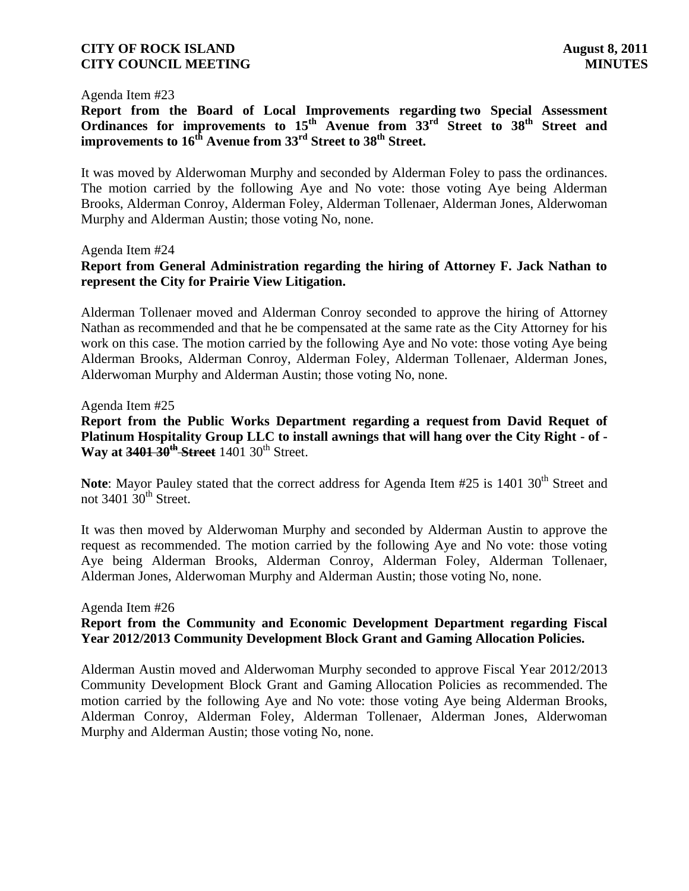#### Agenda Item #23

**Report from the Board of Local Improvements regarding two Special Assessment Ordinances for improvements to 15th Avenue from 33rd Street to 38th Street and improvements to 16th Avenue from 33rd Street to 38th Street.**

It was moved by Alderwoman Murphy and seconded by Alderman Foley to pass the ordinances. The motion carried by the following Aye and No vote: those voting Aye being Alderman Brooks, Alderman Conroy, Alderman Foley, Alderman Tollenaer, Alderman Jones, Alderwoman Murphy and Alderman Austin; those voting No, none.

#### Agenda Item #24

## **Report from General Administration regarding the hiring of Attorney F. Jack Nathan to represent the City for Prairie View Litigation.**

Alderman Tollenaer moved and Alderman Conroy seconded to approve the hiring of Attorney Nathan as recommended and that he be compensated at the same rate as the City Attorney for his work on this case. The motion carried by the following Aye and No vote: those voting Aye being Alderman Brooks, Alderman Conroy, Alderman Foley, Alderman Tollenaer, Alderman Jones, Alderwoman Murphy and Alderman Austin; those voting No, none.

#### Agenda Item #25

**Report from the Public Works Department regarding a request from David Requet of Platinum Hospitality Group LLC to install awnings that will hang over the City Right - of - Way at 3401 30<sup>th</sup> Street** 1401 30<sup>th</sup> Street.

**Note**: Mayor Pauley stated that the correct address for Agenda Item #25 is 1401 30<sup>th</sup> Street and not  $3401 \overline{30}$ <sup>th</sup> Street.

It was then moved by Alderwoman Murphy and seconded by Alderman Austin to approve the request as recommended. The motion carried by the following Aye and No vote: those voting Aye being Alderman Brooks, Alderman Conroy, Alderman Foley, Alderman Tollenaer, Alderman Jones, Alderwoman Murphy and Alderman Austin; those voting No, none.

#### Agenda Item #26

## **Report from the Community and Economic Development Department regarding Fiscal Year 2012/2013 Community Development Block Grant and Gaming Allocation Policies.**

Alderman Austin moved and Alderwoman Murphy seconded to approve Fiscal Year 2012/2013 Community Development Block Grant and Gaming Allocation Policies as recommended. The motion carried by the following Aye and No vote: those voting Aye being Alderman Brooks, Alderman Conroy, Alderman Foley, Alderman Tollenaer, Alderman Jones, Alderwoman Murphy and Alderman Austin; those voting No, none.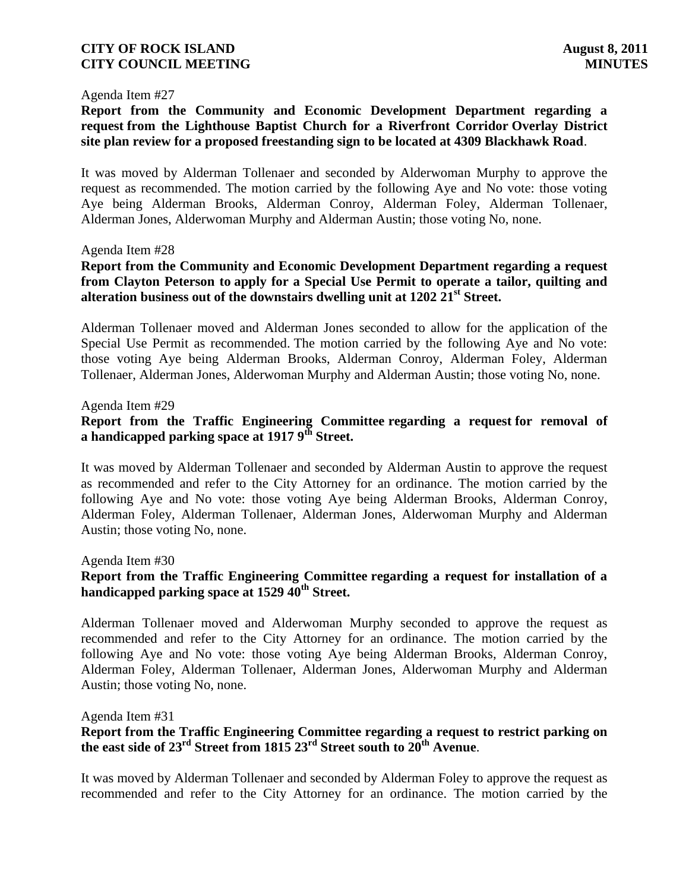#### Agenda Item #27

**Report from the Community and Economic Development Department regarding a request from the Lighthouse Baptist Church for a Riverfront Corridor Overlay District site plan review for a proposed freestanding sign to be located at 4309 Blackhawk Road**.

It was moved by Alderman Tollenaer and seconded by Alderwoman Murphy to approve the request as recommended. The motion carried by the following Aye and No vote: those voting Aye being Alderman Brooks, Alderman Conroy, Alderman Foley, Alderman Tollenaer, Alderman Jones, Alderwoman Murphy and Alderman Austin; those voting No, none.

#### Agenda Item #28

# **Report from the Community and Economic Development Department regarding a request from Clayton Peterson to apply for a Special Use Permit to operate a tailor, quilting and alteration business out of the downstairs dwelling unit at 1202 21st Street.**

Alderman Tollenaer moved and Alderman Jones seconded to allow for the application of the Special Use Permit as recommended. The motion carried by the following Aye and No vote: those voting Aye being Alderman Brooks, Alderman Conroy, Alderman Foley, Alderman Tollenaer, Alderman Jones, Alderwoman Murphy and Alderman Austin; those voting No, none.

### Agenda Item #29

# **Report from the Traffic Engineering Committee regarding a request for removal of a handicapped parking space at 1917 9th Street.**

It was moved by Alderman Tollenaer and seconded by Alderman Austin to approve the request as recommended and refer to the City Attorney for an ordinance. The motion carried by the following Aye and No vote: those voting Aye being Alderman Brooks, Alderman Conroy, Alderman Foley, Alderman Tollenaer, Alderman Jones, Alderwoman Murphy and Alderman Austin; those voting No, none.

Agenda Item #30

# **Report from the Traffic Engineering Committee regarding a request for installation of a handicapped parking space at 1529 40th Street.**

Alderman Tollenaer moved and Alderwoman Murphy seconded to approve the request as recommended and refer to the City Attorney for an ordinance. The motion carried by the following Aye and No vote: those voting Aye being Alderman Brooks, Alderman Conroy, Alderman Foley, Alderman Tollenaer, Alderman Jones, Alderwoman Murphy and Alderman Austin; those voting No, none.

Agenda Item #31

# **Report from the Traffic Engineering Committee regarding a request to restrict parking on the east side of 23rd Street from 1815 23rd Street south to 20th Avenue**.

It was moved by Alderman Tollenaer and seconded by Alderman Foley to approve the request as recommended and refer to the City Attorney for an ordinance. The motion carried by the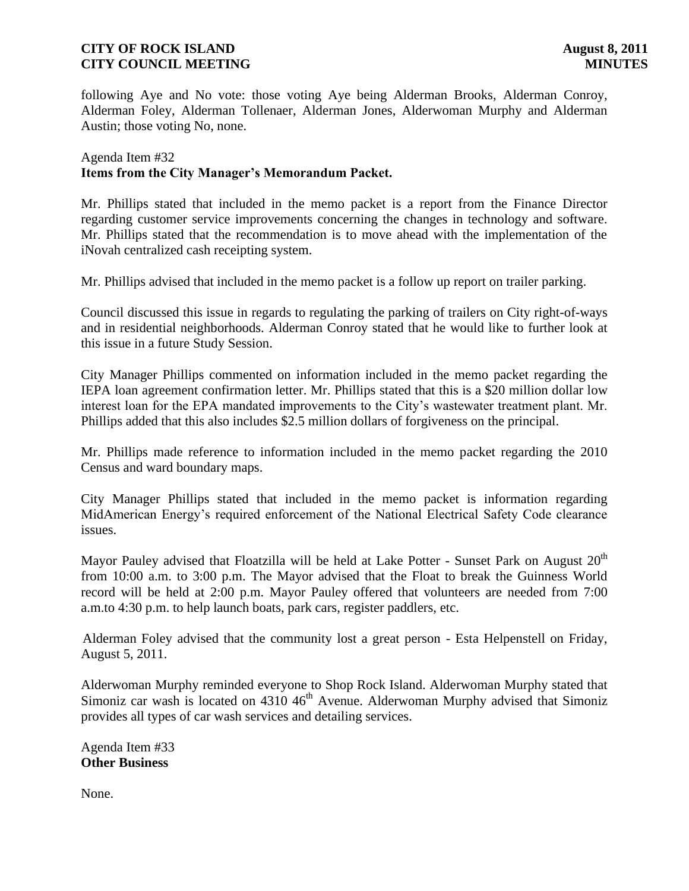following Aye and No vote: those voting Aye being Alderman Brooks, Alderman Conroy, Alderman Foley, Alderman Tollenaer, Alderman Jones, Alderwoman Murphy and Alderman Austin; those voting No, none.

# Agenda Item #32 **Items from the City Manager's Memorandum Packet.**

Mr. Phillips stated that included in the memo packet is a report from the Finance Director regarding customer service improvements concerning the changes in technology and software. Mr. Phillips stated that the recommendation is to move ahead with the implementation of the iNovah centralized cash receipting system.

Mr. Phillips advised that included in the memo packet is a follow up report on trailer parking.

Council discussed this issue in regards to regulating the parking of trailers on City right-of-ways and in residential neighborhoods. Alderman Conroy stated that he would like to further look at this issue in a future Study Session.

City Manager Phillips commented on information included in the memo packet regarding the IEPA loan agreement confirmation letter. Mr. Phillips stated that this is a \$20 million dollar low interest loan for the EPA mandated improvements to the City's wastewater treatment plant. Mr. Phillips added that this also includes \$2.5 million dollars of forgiveness on the principal.

Mr. Phillips made reference to information included in the memo packet regarding the 2010 Census and ward boundary maps.

City Manager Phillips stated that included in the memo packet is information regarding MidAmerican Energy's required enforcement of the National Electrical Safety Code clearance issues.

Mayor Pauley advised that Floatzilla will be held at Lake Potter - Sunset Park on August  $20<sup>th</sup>$ from 10:00 a.m. to 3:00 p.m. The Mayor advised that the Float to break the Guinness World record will be held at 2:00 p.m. Mayor Pauley offered that volunteers are needed from 7:00 a.m.to 4:30 p.m. to help launch boats, park cars, register paddlers, etc.

 Alderman Foley advised that the community lost a great person - Esta Helpenstell on Friday, August 5, 2011.

Alderwoman Murphy reminded everyone to Shop Rock Island. Alderwoman Murphy stated that Simoniz car wash is located on  $4310 \, 46$ <sup>th</sup> Avenue. Alderwoman Murphy advised that Simoniz provides all types of car wash services and detailing services.

Agenda Item #33 **Other Business**

None.